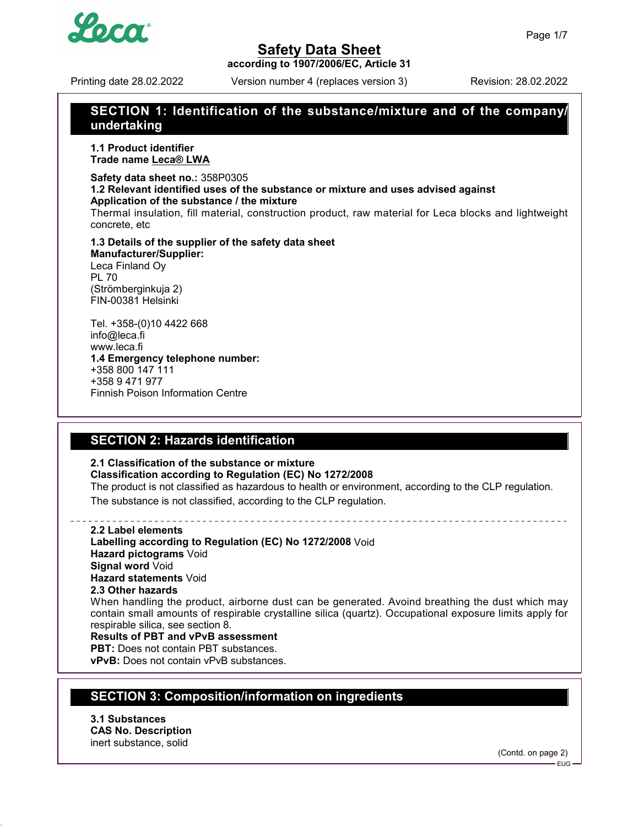**according to 1907/2006/EC, Article 31**

Yora

Printing date 28.02.2022 Version number 4 (replaces version 3) Revision: 28.02.2022

## **SECTION 1: Identification of the substance/mixture and of the company/ undertaking**

**1.1 Product identifier Trade name Leca® LWA**

**Safety data sheet no.:** 358P0305

**1.2 Relevant identified uses of the substance or mixture and uses advised against**

**Application of the substance / the mixture** Thermal insulation, fill material, construction product, raw material for Leca blocks and lightweight concrete, etc

**1.3 Details of the supplier of the safety data sheet Manufacturer/Supplier:** Leca Finland Oy PL 70 (Strömberginkuja 2) FIN-00381 Helsinki

Tel. +358-(0)10 4422 668 info@leca.fi www.leca.fi **1.4 Emergency telephone number:** +358 800 147 111 +358 9 471 977 Finnish Poison Information Centre

# **SECTION 2: Hazards identification**

**2.1 Classification of the substance or mixture**

**Classification according to Regulation (EC) No 1272/2008** The product is not classified as hazardous to health or environment, according to the CLP regulation. The substance is not classified, according to the CLP regulation.

**2.2 Label elements**

**Labelling according to Regulation (EC) No 1272/2008** Void **Hazard pictograms** Void **Signal word** Void **Hazard statements** Void **2.3 Other hazards** When handling the product, airborne dust can be generated. Avoind breathing the dust which may contain small amounts of respirable crystalline silica (quartz). Occupational exposure limits apply for respirable silica, see section 8. **Results of PBT and vPvB assessment**

**PBT:** Does not contain PBT substances.

**vPvB:** Does not contain vPvB substances.

# **SECTION 3: Composition/information on ingredients**

**3.1 Substances CAS No. Description** inert substance, solid

(Contd. on page 2)

 $-$ FUG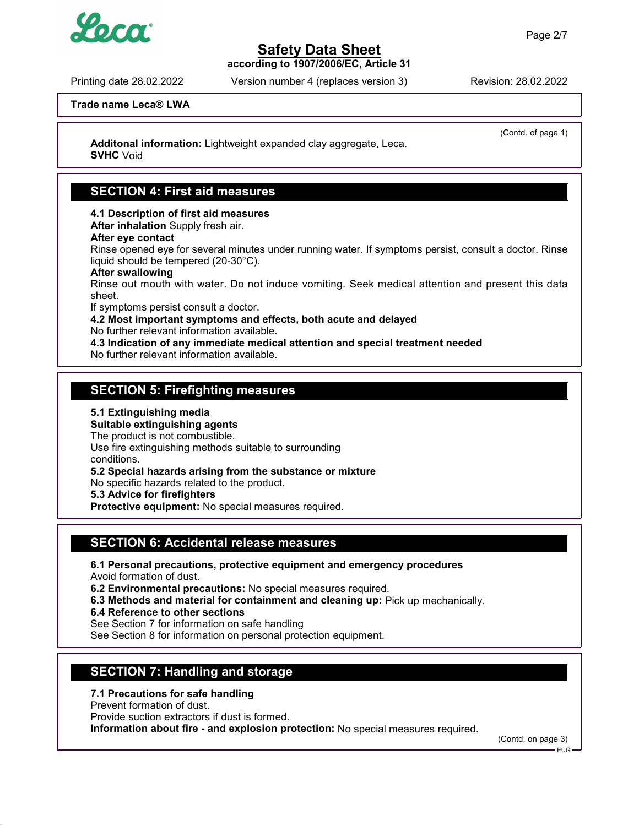**according to 1907/2006/EC, Article 31**

Printing date 28.02.2022 Version number 4 (replaces version 3) Revision: 28.02.2022

**Trade name Leca® LWA**

**Additonal information:** Lightweight expanded clay aggregate, Leca. **SVHC** Void

## **SECTION 4: First aid measures**

**4.1 Description of first aid measures**

**After inhalation** Supply fresh air.

**After eye contact**

Rinse opened eye for several minutes under running water. If symptoms persist, consult a doctor. Rinse liquid should be tempered (20-30°C).

#### **After swallowing**

Rinse out mouth with water. Do not induce vomiting. Seek medical attention and present this data sheet.

If symptoms persist consult a doctor.

**4.2 Most important symptoms and effects, both acute and delayed**

No further relevant information available.

**4.3 Indication of any immediate medical attention and special treatment needed**

No further relevant information available.

## **SECTION 5: Firefighting measures**

**5.1 Extinguishing media**

#### **Suitable extinguishing agents**

The product is not combustible.

Use fire extinguishing methods suitable to surrounding conditions.

**5.2 Special hazards arising from the substance or mixture**

No specific hazards related to the product.

**5.3 Advice for firefighters**

**Protective equipment:** No special measures required.

## **SECTION 6: Accidental release measures**

**6.1 Personal precautions, protective equipment and emergency procedures** Avoid formation of dust.

**6.2 Environmental precautions:** No special measures required.

**6.3 Methods and material for containment and cleaning up:** Pick up mechanically.

**6.4 Reference to other sections**

See Section 7 for information on safe handling

See Section 8 for information on personal protection equipment.

# **SECTION 7: Handling and storage**

## **7.1 Precautions for safe handling**

Prevent formation of dust.

Provide suction extractors if dust is formed.

**Information about fire - and explosion protection:** No special measures required.

(Contd. on page 3)

# Locot

(Contd. of page 1)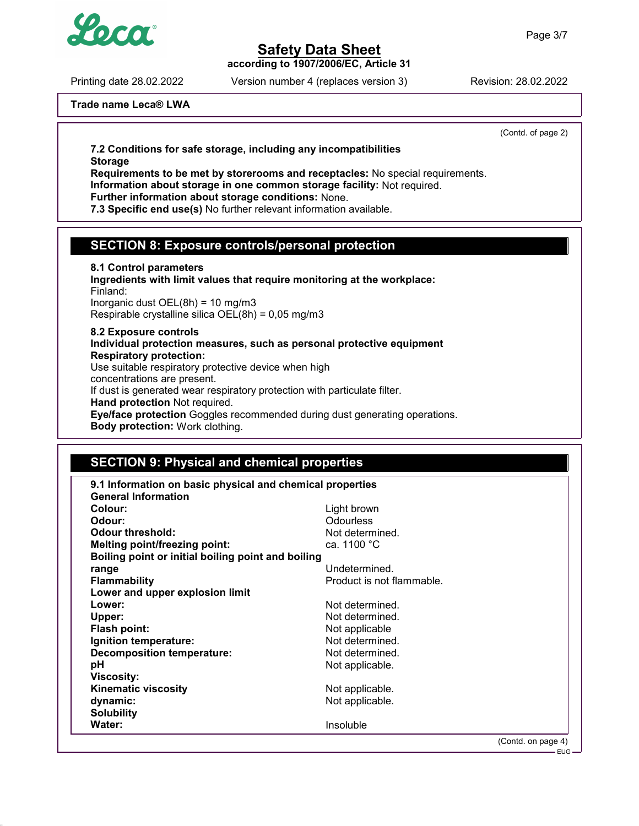**according to 1907/2006/EC, Article 31**

Printing date 28.02.2022 Version number 4 (replaces version 3) Revision: 28.02.2022

**Trade name Leca® LWA**

**7.2 Conditions for safe storage, including any incompatibilities Storage**

**Requirements to be met by storerooms and receptacles:** No special requirements. **Information about storage in one common storage facility:** Not required.

**Further information about storage conditions:** None.

**7.3 Specific end use(s)** No further relevant information available.

## **SECTION 8: Exposure controls/personal protection**

#### **8.1 Control parameters**

**Ingredients with limit values that require monitoring at the workplace:** Finland: Inorganic dust  $OEL(8h) = 10$  mg/m3

Respirable crystalline silica OEL(8h) = 0,05 mg/m3

#### **8.2 Exposure controls**

**Individual protection measures, such as personal protective equipment Respiratory protection:** Use suitable respiratory protective device when high concentrations are present. If dust is generated wear respiratory protection with particulate filter. **Hand protection** Not required. **Eye/face protection** Goggles recommended during dust generating operations. **Body protection:** Work clothing.

## **SECTION 9: Physical and chemical properties**

| 9.1 Information on basic physical and chemical properties |                           |  |
|-----------------------------------------------------------|---------------------------|--|
| <b>General Information</b>                                |                           |  |
| Colour:                                                   | Light brown               |  |
| Odour:                                                    | <b>Odourless</b>          |  |
| <b>Odour threshold:</b>                                   | Not determined.           |  |
| <b>Melting point/freezing point:</b>                      | ca. 1100 °C               |  |
| Boiling point or initial boiling point and boiling        |                           |  |
| range                                                     | Undetermined.             |  |
| <b>Flammability</b>                                       | Product is not flammable. |  |
| Lower and upper explosion limit                           |                           |  |
| Lower:                                                    | Not determined.           |  |
| Upper:                                                    | Not determined.           |  |
| <b>Flash point:</b>                                       | Not applicable            |  |
| Ignition temperature:                                     | Not determined.           |  |
| <b>Decomposition temperature:</b>                         | Not determined.           |  |
| pH                                                        | Not applicable.           |  |
| <b>Viscosity:</b>                                         |                           |  |
| <b>Kinematic viscosity</b>                                | Not applicable.           |  |
| dynamic:                                                  | Not applicable.           |  |
| <b>Solubility</b>                                         |                           |  |
| Water:                                                    | Insoluble                 |  |
|                                                           | $(Contd.$ on page 4)      |  |



(Contd. of page 2)

(Contd. on page 4)

EUG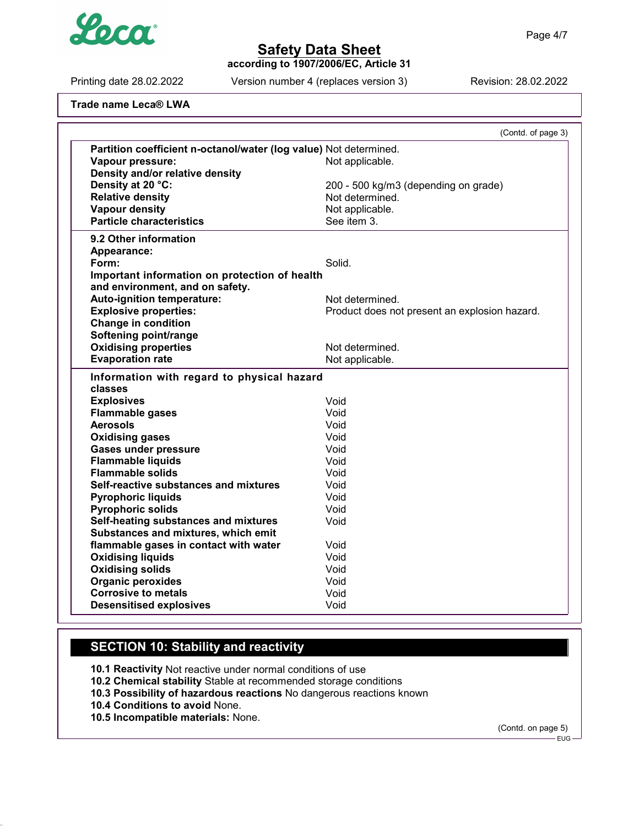**according to 1907/2006/EC, Article 31**

Printing date 28.02.2022 Version number 4 (replaces version 3) Revision: 28.02.2022

**Trade name Leca® LWA**

|                                                                   | (Contd. of page 3)                            |
|-------------------------------------------------------------------|-----------------------------------------------|
| Partition coefficient n-octanol/water (log value) Not determined. |                                               |
| Vapour pressure:                                                  | Not applicable.                               |
| Density and/or relative density                                   |                                               |
| Density at 20 °C:                                                 | 200 - 500 kg/m3 (depending on grade)          |
| <b>Relative density</b>                                           | Not determined.                               |
| <b>Vapour density</b>                                             | Not applicable.                               |
| <b>Particle characteristics</b>                                   | See item 3.                                   |
| 9.2 Other information                                             |                                               |
| Appearance:                                                       |                                               |
| Form:                                                             | Solid.                                        |
| Important information on protection of health                     |                                               |
| and environment, and on safety.                                   |                                               |
| Auto-ignition temperature:                                        | Not determined.                               |
| <b>Explosive properties:</b>                                      | Product does not present an explosion hazard. |
| <b>Change in condition</b>                                        |                                               |
| Softening point/range                                             |                                               |
| <b>Oxidising properties</b>                                       | Not determined.                               |
| <b>Evaporation rate</b>                                           | Not applicable.                               |
| Information with regard to physical hazard                        |                                               |
| classes                                                           |                                               |
| <b>Explosives</b>                                                 | Void                                          |
| <b>Flammable gases</b>                                            | Void                                          |
| <b>Aerosols</b>                                                   | Void                                          |
| <b>Oxidising gases</b>                                            | Void                                          |
| <b>Gases under pressure</b>                                       | Void                                          |
| <b>Flammable liquids</b>                                          | Void                                          |
| <b>Flammable solids</b>                                           | Void                                          |
| Self-reactive substances and mixtures                             | Void                                          |
| <b>Pyrophoric liquids</b>                                         | Void                                          |
| <b>Pyrophoric solids</b>                                          | Void                                          |
| Self-heating substances and mixtures                              | Void                                          |
| Substances and mixtures, which emit                               |                                               |
| flammable gases in contact with water                             | Void                                          |
| <b>Oxidising liquids</b>                                          | Void                                          |
| <b>Oxidising solids</b>                                           | Void                                          |
| <b>Organic peroxides</b>                                          | Void                                          |
| <b>Corrosive to metals</b>                                        | Void                                          |
| <b>Desensitised explosives</b>                                    | Void                                          |

# **SECTION 10: Stability and reactivity**

**10.1 Reactivity** Not reactive under normal conditions of use

**10.2 Chemical stability** Stable at recommended storage conditions

**10.3 Possibility of hazardous reactions** No dangerous reactions known

**10.4 Conditions to avoid** None.

**10.5 Incompatible materials:** None.

(Contd. on page 5)



<sup>-</sup>EUG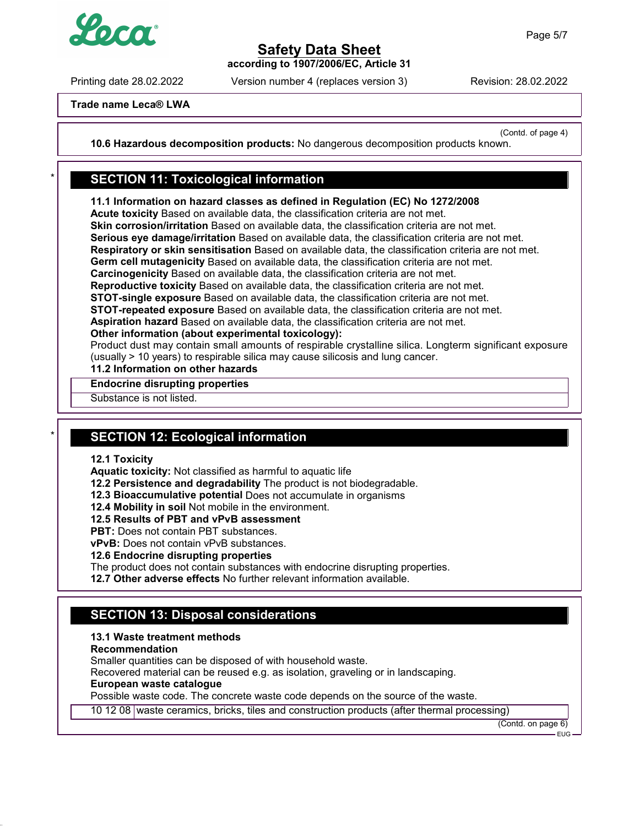# Loca

# **Safety Data Sheet**

**according to 1907/2006/EC, Article 31**

Printing date 28.02.2022 Version number 4 (replaces version 3) Revision: 28.02.2022

**Trade name Leca® LWA**

(Contd. of page 4) **10.6 Hazardous decomposition products:** No dangerous decomposition products known.

# **SECTION 11: Toxicological information**

**11.1 Information on hazard classes as defined in Regulation (EC) No 1272/2008**

**Acute toxicity** Based on available data, the classification criteria are not met.

**Skin corrosion/irritation** Based on available data, the classification criteria are not met.

**Serious eye damage/irritation** Based on available data, the classification criteria are not met.

**Respiratory or skin sensitisation** Based on available data, the classification criteria are not met.

**Germ cell mutagenicity** Based on available data, the classification criteria are not met.

**Carcinogenicity** Based on available data, the classification criteria are not met.

**Reproductive toxicity** Based on available data, the classification criteria are not met.

**STOT-single exposure** Based on available data, the classification criteria are not met.

**STOT-repeated exposure** Based on available data, the classification criteria are not met.

**Aspiration hazard** Based on available data, the classification criteria are not met.

## **Other information (about experimental toxicology):**

Product dust may contain small amounts of respirable crystalline silica. Longterm significant exposure (usually > 10 years) to respirable silica may cause silicosis and lung cancer.

## **11.2 Information on other hazards**

## **Endocrine disrupting properties**

Substance is not listed.

## **SECTION 12: Ecological information**

**12.1 Toxicity**

**Aquatic toxicity:** Not classified as harmful to aquatic life

**12.2 Persistence and degradability** The product is not biodegradable.

**12.3 Bioaccumulative potential** Does not accumulate in organisms

**12.4 Mobility in soil** Not mobile in the environment.

**12.5 Results of PBT and vPvB assessment**

**PBT:** Does not contain PBT substances.

**vPvB:** Does not contain vPvB substances.

**12.6 Endocrine disrupting properties**

The product does not contain substances with endocrine disrupting properties.

**12.7 Other adverse effects** No further relevant information available.

# **SECTION 13: Disposal considerations**

## **13.1 Waste treatment methods**

**Recommendation**

Smaller quantities can be disposed of with household waste.

Recovered material can be reused e.g. as isolation, graveling or in landscaping.

## **European waste catalogue**

Possible waste code. The concrete waste code depends on the source of the waste.

10 12 08 waste ceramics, bricks, tiles and construction products (after thermal processing)

(Contd. on page 6)

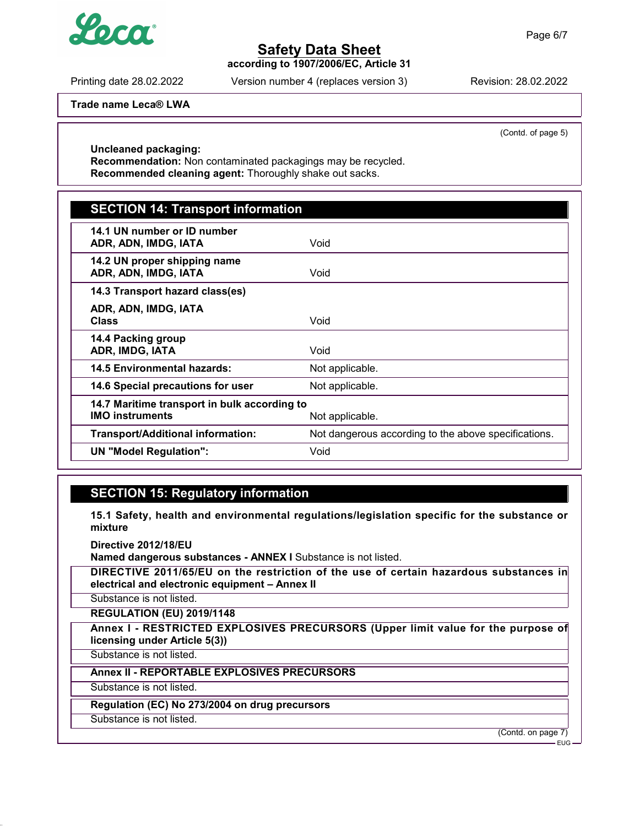**according to 1907/2006/EC, Article 31**

Printing date 28.02.2022 Version number 4 (replaces version 3) Revision: 28.02.2022

**Trade name Leca® LWA**

#### **Uncleaned packaging:**

**Recommendation:** Non contaminated packagings may be recycled. **Recommended cleaning agent:** Thoroughly shake out sacks.

| <b>SECTION 14: Transport information</b>                               |                                                      |
|------------------------------------------------------------------------|------------------------------------------------------|
| 14.1 UN number or ID number<br>ADR, ADN, IMDG, IATA                    | Void                                                 |
| 14.2 UN proper shipping name<br>ADR, ADN, IMDG, IATA                   | Void                                                 |
| 14.3 Transport hazard class(es)                                        |                                                      |
| ADR, ADN, IMDG, IATA<br><b>Class</b>                                   | Void                                                 |
| 14.4 Packing group<br>ADR, IMDG, IATA                                  | Void                                                 |
| <b>14.5 Environmental hazards:</b>                                     | Not applicable.                                      |
| 14.6 Special precautions for user                                      | Not applicable.                                      |
| 14.7 Maritime transport in bulk according to<br><b>IMO instruments</b> | Not applicable.                                      |
| <b>Transport/Additional information:</b>                               | Not dangerous according to the above specifications. |
| <b>UN "Model Regulation":</b>                                          | Void                                                 |

# **SECTION 15: Regulatory information**

**15.1 Safety, health and environmental regulations/legislation specific for the substance or mixture**

**Directive 2012/18/EU**

**Named dangerous substances - ANNEX I** Substance is not listed.

**DIRECTIVE 2011/65/EU on the restriction of the use of certain hazardous substances in electrical and electronic equipment – Annex II**

Substance is not listed.

**REGULATION (EU) 2019/1148**

**Annex I - RESTRICTED EXPLOSIVES PRECURSORS (Upper limit value for the purpose of licensing under Article 5(3))**

Substance is not listed.

**Annex II - REPORTABLE EXPLOSIVES PRECURSORS**

Substance is not listed.

**Regulation (EC) No 273/2004 on drug precursors**

Substance is not listed.

(Contd. on page 7)



(Contd. of page 5)

**FUG**